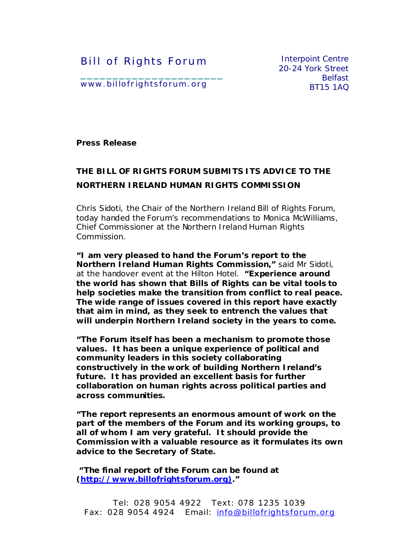Bill of Rights Forum

Interpoint Centre 20-24 York Street Belfast BT15 1AQ

www.billofrightsforum.org

\_\_\_\_\_\_\_\_\_\_\_\_\_\_\_\_\_\_\_\_\_\_

**Press Release**

## **THE BILL OF RIGHTS FORUM SUBMITS ITS ADVICE TO THE NORTHERN IRELAND HUMAN RIGHTS COMMISSION**

Chris Sidoti, the Chair of the Northern Ireland Bill of Rights Forum, today handed the Forum's recommendations to Monica McWilliams, Chief Commissioner at the Northern Ireland Human Rights Commission.

Northern I reland Human Rights Commission," said Mr Sidoti, at the handover event at the Hilton Hotel. **"Experience around "I am very pleased to hand the Forum's report to the the world has shown that Bills of Rights can be vital tools to help societies make the transition from conflict to real peace. The wide range of issues covered in this report have exactly that aim in mind, as they seek to entrench the values that will underpin Northern Ireland society in the years to come.** 

**"The Forum itself has been a mechanism to promote those values. It has been a unique experience of political and community leaders in this society collaborating constructively in the work of building Northern Ireland's future. It has provided an excellent basis for further collaboration on human rights across political parties and across communities.**

**"The report represents an enormous amount of work on the part of the members of the Forum and its working groups, to all of whom I am very grateful. It should provide the Commission with a valuable resource as it formulates its own advice to the Secretary of State.**

**"The final report of the Forum can be found at (http://www.billofrightsforum.org)."** 

Tel: 028 9054 4922 Text: 078 1235 1039 Fax: 028 9054 4924 Email: info@billofrightsforum.org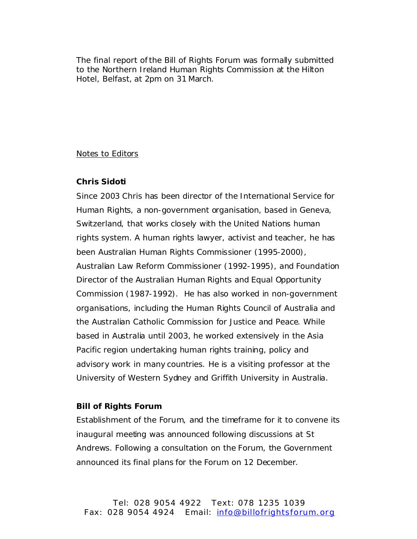The final report ofthe Bill of Rights Forum was formally submitted to the Northern Ireland Human Rights Commission at the Hilton Hotel, Belfast, at 2pm on 31 March.

## Notes to Editors

## **Chris Sidoti**

Since 2003 Chris has been director of the International Service for Human Rights, a non-government organisation, based in Geneva, Switzerland, that works closely with the United Nations human rights system. A human rights lawyer, activist and teacher, he has been Australian Human Rights Commissioner (1995-2000), Australian Law Reform Commissioner (1992-1995), and Foundation Director of the Australian Human Rights and Equal Opportunity Commission (1987-1992). He has also worked in non-government organisations, including the Human Rights Council of Australia and the Australian Catholic Commission for Justice and Peace. While based in Australia until 2003, he worked extensively in the Asia Pacific region undertaking human rights training, policy and advisory work in many countries. He is a visiting professor at the University of Western Sydney and Griffith University in Australia.

## **Bill of Rights Forum**

Establishment of the Forum, and the timeframe for it to convene its inaugural meeting was announced following discussions at St Andrews. Following a consultation on the Forum, the Government announced its final plans for the Forum on 12 December.